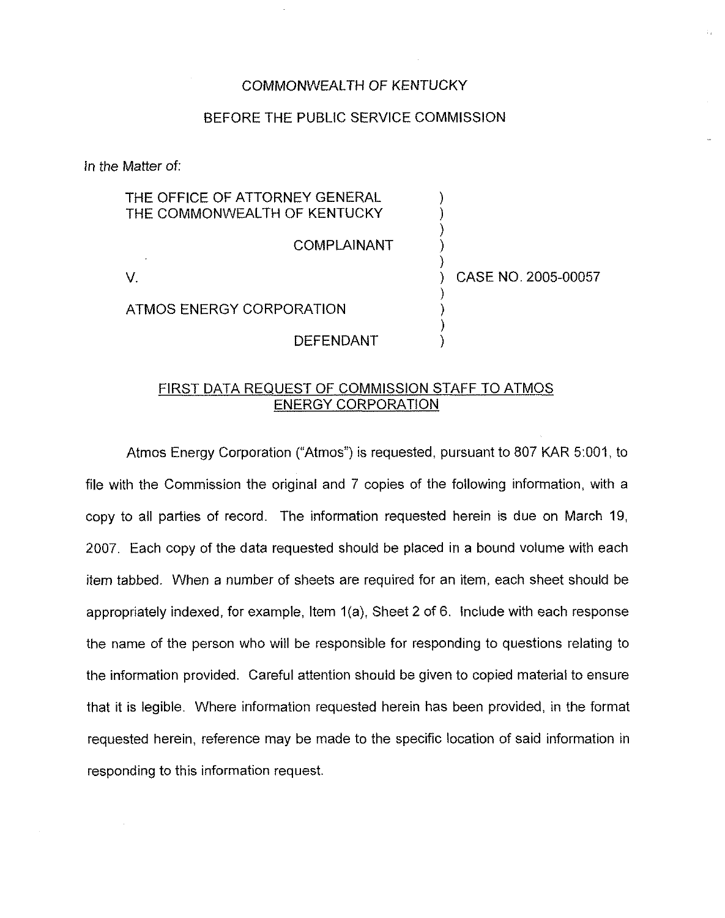## COMMONWEALTH OF KENTUCKY

## BEFORE THE PUBLIC SERVICE COMMISSION

ln the Matter of:

| THE OFFICE OF ATTORNEY GENERAL<br>THE COMMONWEALTH OF KENTUCKY |                     |
|----------------------------------------------------------------|---------------------|
| <b>COMPLAINANT</b>                                             |                     |
|                                                                | CASE NO. 2005-00057 |
| ATMOS ENERGY CORPORATION                                       |                     |
| DEFENDANT                                                      |                     |

## FIRST DATA REQUEST OF COMMISSION STAFF TO ATMOS ENERGY CORPORATION

Atmos Energy Corporation ("Atmos") is requested, pursuant to 807 KAR 5:001, to file with the Commission the original and 7 copies of the following information, with a copy to all parties of record. The information requested herein is due on March 19, 2007. Each copy of the data requested should be placed in a bound volume with each item tabbed. When a number of sheets are required for an item, each sheet should be appropriately indexed, for example, Item 1(a), Sheet 2 of 6. Include with each response the name of the person who will be responsible for responding to questions relating to the information provided. Careful attention should be given to copied material to ensure that it is legible. Where information requested herein has been provided, in the format requested herein, reference may be made to the specific location of said information in responding to this information request.